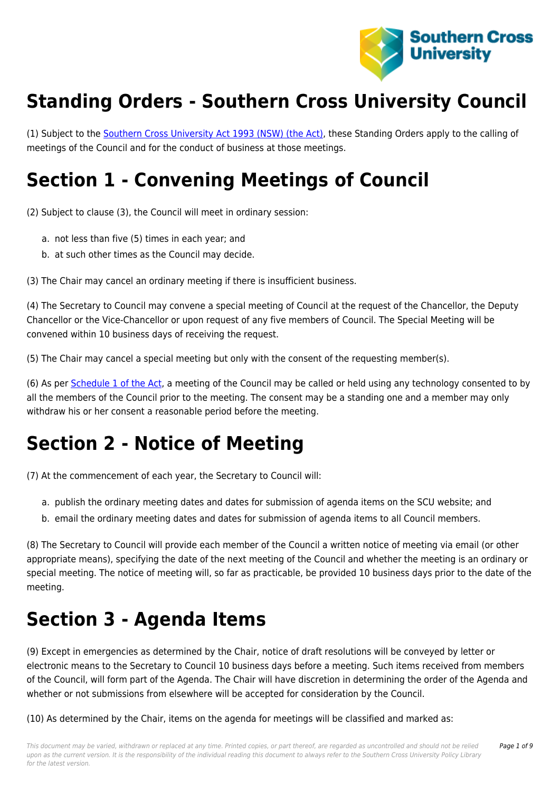

# **Standing Orders - Southern Cross University Council**

(1) Subject to the [Southern Cross University Act 1993 \(NSW\) \(the Act\),](https://policies.dev.scu.edu.au/directory-summary.php?legislation=21) these Standing Orders apply to the calling of meetings of the Council and for the conduct of business at those meetings.

# **Section 1 - Convening Meetings of Council**

(2) Subject to clause (3), the Council will meet in ordinary session:

- a. not less than five (5) times in each year; and
- b. at such other times as the Council may decide.

(3) The Chair may cancel an ordinary meeting if there is insufficient business.

(4) The Secretary to Council may convene a special meeting of Council at the request of the Chancellor, the Deputy Chancellor or the Vice-Chancellor or upon request of any five members of Council. The Special Meeting will be convened within 10 business days of receiving the request.

(5) The Chair may cancel a special meeting but only with the consent of the requesting member(s).

(6) As per [Schedule 1 of the Act](http://www.legislation.nsw.gov.au/maintop/view/inforce/act+69+1993+cd+0+N), a meeting of the Council may be called or held using any technology consented to by all the members of the Council prior to the meeting. The consent may be a standing one and a member may only withdraw his or her consent a reasonable period before the meeting.

## **Section 2 - Notice of Meeting**

(7) At the commencement of each year, the Secretary to Council will:

- a. publish the ordinary meeting dates and dates for submission of agenda items on the SCU website; and
- b. email the ordinary meeting dates and dates for submission of agenda items to all Council members.

(8) The Secretary to Council will provide each member of the Council a written notice of meeting via email (or other appropriate means), specifying the date of the next meeting of the Council and whether the meeting is an ordinary or special meeting. The notice of meeting will, so far as practicable, be provided 10 business days prior to the date of the meeting.

## **Section 3 - Agenda Items**

(9) Except in emergencies as determined by the Chair, notice of draft resolutions will be conveyed by letter or electronic means to the Secretary to Council 10 business days before a meeting. Such items received from members of the Council, will form part of the Agenda. The Chair will have discretion in determining the order of the Agenda and whether or not submissions from elsewhere will be accepted for consideration by the Council.

(10) As determined by the Chair, items on the agenda for meetings will be classified and marked as: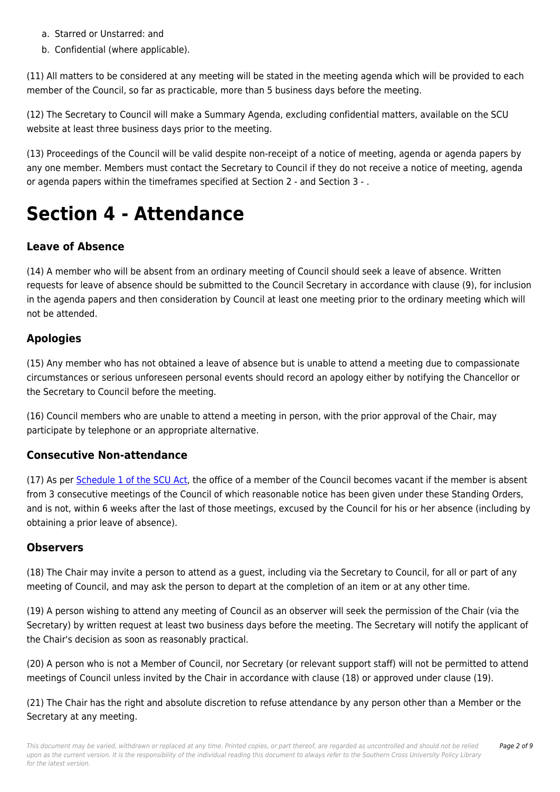- a. Starred or Unstarred: and
- b. Confidential (where applicable).

(11) All matters to be considered at any meeting will be stated in the meeting agenda which will be provided to each member of the Council, so far as practicable, more than 5 business days before the meeting.

(12) The Secretary to Council will make a Summary Agenda, excluding confidential matters, available on the SCU website at least three business days prior to the meeting.

(13) Proceedings of the Council will be valid despite non-receipt of a notice of meeting, agenda or agenda papers by any one member. Members must contact the Secretary to Council if they do not receive a notice of meeting, agenda or agenda papers within the timeframes specified at Section 2 - and Section 3 - .

# **Section 4 - Attendance**

## **Leave of Absence**

(14) A member who will be absent from an ordinary meeting of Council should seek a leave of absence. Written requests for leave of absence should be submitted to the Council Secretary in accordance with clause (9), for inclusion in the agenda papers and then consideration by Council at least one meeting prior to the ordinary meeting which will not be attended.

## **Apologies**

(15) Any member who has not obtained a leave of absence but is unable to attend a meeting due to compassionate circumstances or serious unforeseen personal events should record an apology either by notifying the Chancellor or the Secretary to Council before the meeting.

(16) Council members who are unable to attend a meeting in person, with the prior approval of the Chair, may participate by telephone or an appropriate alternative.

#### **Consecutive Non-attendance**

(17) As per [Schedule 1 of the SCU Act](http://www.legislation.nsw.gov.au/maintop/view/inforce/act+69+1993+cd+0+N), the office of a member of the Council becomes vacant if the member is absent from 3 consecutive meetings of the Council of which reasonable notice has been given under these Standing Orders, and is not, within 6 weeks after the last of those meetings, excused by the Council for his or her absence (including by obtaining a prior leave of absence).

#### **Observers**

(18) The Chair may invite a person to attend as a guest, including via the Secretary to Council, for all or part of any meeting of Council, and may ask the person to depart at the completion of an item or at any other time.

(19) A person wishing to attend any meeting of Council as an observer will seek the permission of the Chair (via the Secretary) by written request at least two business days before the meeting. The Secretary will notify the applicant of the Chair's decision as soon as reasonably practical.

(20) A person who is not a Member of Council, nor Secretary (or relevant support staff) will not be permitted to attend meetings of Council unless invited by the Chair in accordance with clause (18) or approved under clause (19).

(21) The Chair has the right and absolute discretion to refuse attendance by any person other than a Member or the Secretary at any meeting.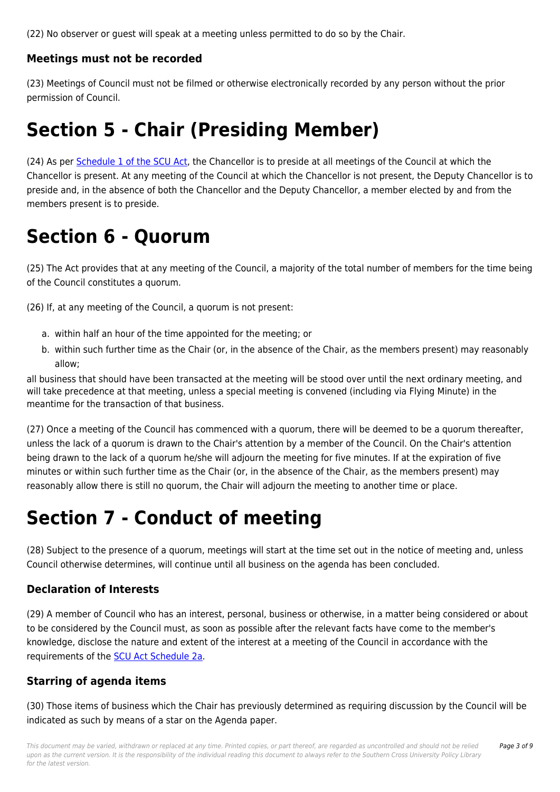(22) No observer or guest will speak at a meeting unless permitted to do so by the Chair.

### **Meetings must not be recorded**

(23) Meetings of Council must not be filmed or otherwise electronically recorded by any person without the prior permission of Council.

# **Section 5 - Chair (Presiding Member)**

(24) As per [Schedule 1 of the SCU Act](http://www.legislation.nsw.gov.au/maintop/view/inforce/act+69+1993+cd+0+N), the Chancellor is to preside at all meetings of the Council at which the Chancellor is present. At any meeting of the Council at which the Chancellor is not present, the Deputy Chancellor is to preside and, in the absence of both the Chancellor and the Deputy Chancellor, a member elected by and from the members present is to preside.

# **Section 6 - Quorum**

(25) The Act provides that at any meeting of the Council, a majority of the total number of members for the time being of the Council constitutes a quorum.

(26) If, at any meeting of the Council, a quorum is not present:

- a. within half an hour of the time appointed for the meeting; or
- b. within such further time as the Chair (or, in the absence of the Chair, as the members present) may reasonably allow;

all business that should have been transacted at the meeting will be stood over until the next ordinary meeting, and will take precedence at that meeting, unless a special meeting is convened (including via Flying Minute) in the meantime for the transaction of that business.

(27) Once a meeting of the Council has commenced with a quorum, there will be deemed to be a quorum thereafter, unless the lack of a quorum is drawn to the Chair's attention by a member of the Council. On the Chair's attention being drawn to the lack of a quorum he/she will adjourn the meeting for five minutes. If at the expiration of five minutes or within such further time as the Chair (or, in the absence of the Chair, as the members present) may reasonably allow there is still no quorum, the Chair will adjourn the meeting to another time or place.

## **Section 7 - Conduct of meeting**

(28) Subject to the presence of a quorum, meetings will start at the time set out in the notice of meeting and, unless Council otherwise determines, will continue until all business on the agenda has been concluded.

#### **Declaration of Interests**

(29) A member of Council who has an interest, personal, business or otherwise, in a matter being considered or about to be considered by the Council must, as soon as possible after the relevant facts have come to the member's knowledge, disclose the nature and extent of the interest at a meeting of the Council in accordance with the requirements of the [SCU Act Schedule 2a](http://www.legislation.nsw.gov.au/maintop/view/inforce/act+69+1993+cd+0+N).

## **Starring of agenda items**

(30) Those items of business which the Chair has previously determined as requiring discussion by the Council will be indicated as such by means of a star on the Agenda paper.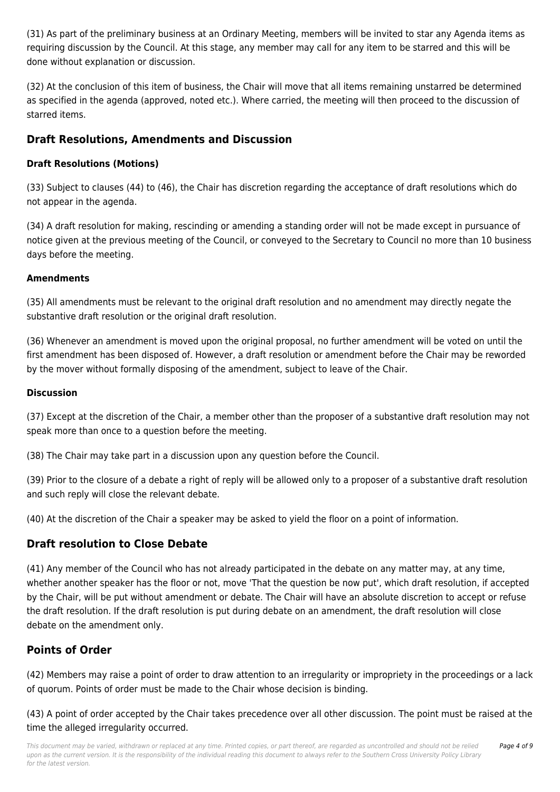(31) As part of the preliminary business at an Ordinary Meeting, members will be invited to star any Agenda items as requiring discussion by the Council. At this stage, any member may call for any item to be starred and this will be done without explanation or discussion.

(32) At the conclusion of this item of business, the Chair will move that all items remaining unstarred be determined as specified in the agenda (approved, noted etc.). Where carried, the meeting will then proceed to the discussion of starred items.

### **Draft Resolutions, Amendments and Discussion**

#### **Draft Resolutions (Motions)**

(33) Subject to clauses (44) to (46), the Chair has discretion regarding the acceptance of draft resolutions which do not appear in the agenda.

(34) A draft resolution for making, rescinding or amending a standing order will not be made except in pursuance of notice given at the previous meeting of the Council, or conveyed to the Secretary to Council no more than 10 business days before the meeting.

#### **Amendments**

(35) All amendments must be relevant to the original draft resolution and no amendment may directly negate the substantive draft resolution or the original draft resolution.

(36) Whenever an amendment is moved upon the original proposal, no further amendment will be voted on until the first amendment has been disposed of. However, a draft resolution or amendment before the Chair may be reworded by the mover without formally disposing of the amendment, subject to leave of the Chair.

#### **Discussion**

(37) Except at the discretion of the Chair, a member other than the proposer of a substantive draft resolution may not speak more than once to a question before the meeting.

(38) The Chair may take part in a discussion upon any question before the Council.

(39) Prior to the closure of a debate a right of reply will be allowed only to a proposer of a substantive draft resolution and such reply will close the relevant debate.

(40) At the discretion of the Chair a speaker may be asked to yield the floor on a point of information.

#### **Draft resolution to Close Debate**

(41) Any member of the Council who has not already participated in the debate on any matter may, at any time, whether another speaker has the floor or not, move 'That the question be now put', which draft resolution, if accepted by the Chair, will be put without amendment or debate. The Chair will have an absolute discretion to accept or refuse the draft resolution. If the draft resolution is put during debate on an amendment, the draft resolution will close debate on the amendment only.

#### **Points of Order**

(42) Members may raise a point of order to draw attention to an irregularity or impropriety in the proceedings or a lack of quorum. Points of order must be made to the Chair whose decision is binding.

(43) A point of order accepted by the Chair takes precedence over all other discussion. The point must be raised at the time the alleged irregularity occurred.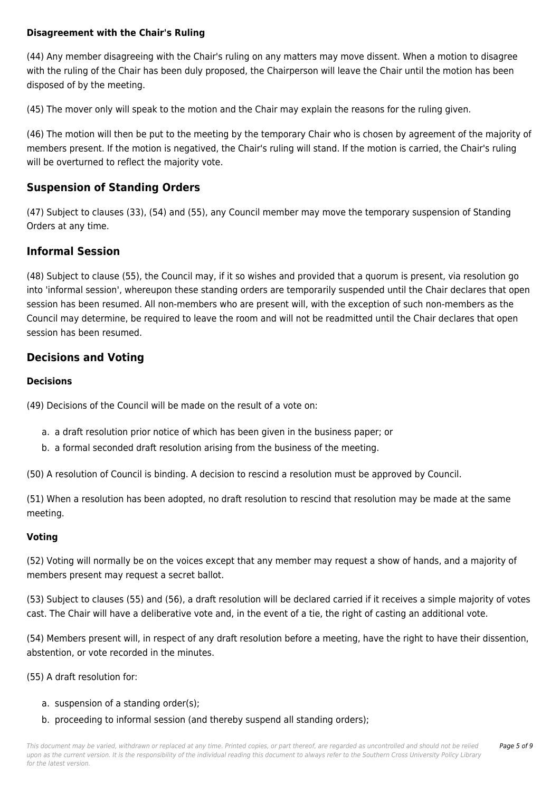#### **Disagreement with the Chair's Ruling**

(44) Any member disagreeing with the Chair's ruling on any matters may move dissent. When a motion to disagree with the ruling of the Chair has been duly proposed, the Chairperson will leave the Chair until the motion has been disposed of by the meeting.

(45) The mover only will speak to the motion and the Chair may explain the reasons for the ruling given.

(46) The motion will then be put to the meeting by the temporary Chair who is chosen by agreement of the majority of members present. If the motion is negatived, the Chair's ruling will stand. If the motion is carried, the Chair's ruling will be overturned to reflect the majority vote.

#### **Suspension of Standing Orders**

(47) Subject to clauses (33), (54) and (55), any Council member may move the temporary suspension of Standing Orders at any time.

#### **Informal Session**

(48) Subject to clause (55), the Council may, if it so wishes and provided that a quorum is present, via resolution go into 'informal session', whereupon these standing orders are temporarily suspended until the Chair declares that open session has been resumed. All non-members who are present will, with the exception of such non-members as the Council may determine, be required to leave the room and will not be readmitted until the Chair declares that open session has been resumed.

#### **Decisions and Voting**

#### **Decisions**

(49) Decisions of the Council will be made on the result of a vote on:

- a. a draft resolution prior notice of which has been given in the business paper; or
- b. a formal seconded draft resolution arising from the business of the meeting.

(50) A resolution of Council is binding. A decision to rescind a resolution must be approved by Council.

(51) When a resolution has been adopted, no draft resolution to rescind that resolution may be made at the same meeting.

#### **Voting**

(52) Voting will normally be on the voices except that any member may request a show of hands, and a majority of members present may request a secret ballot.

(53) Subject to clauses (55) and (56), a draft resolution will be declared carried if it receives a simple majority of votes cast. The Chair will have a deliberative vote and, in the event of a tie, the right of casting an additional vote.

(54) Members present will, in respect of any draft resolution before a meeting, have the right to have their dissention, abstention, or vote recorded in the minutes.

(55) A draft resolution for:

- a. suspension of a standing order(s);
- b. proceeding to informal session (and thereby suspend all standing orders);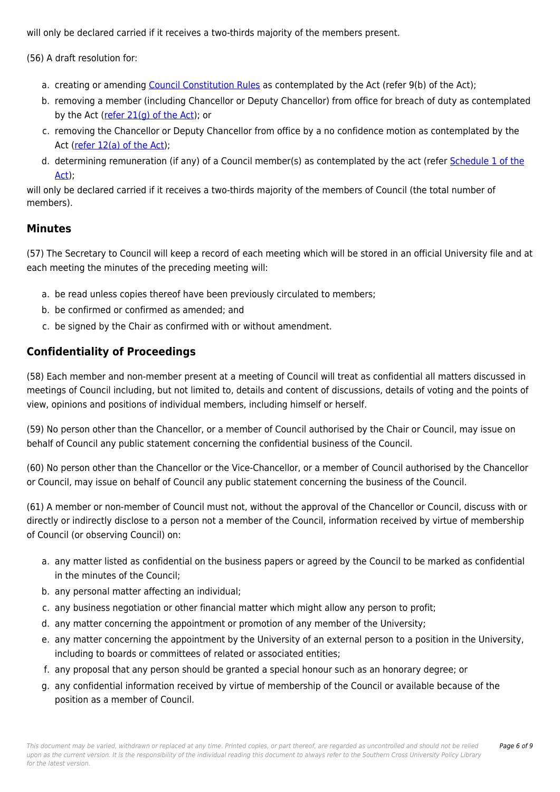will only be declared carried if it receives a two-thirds majority of the members present.

(56) A draft resolution for:

- a. creating or amending [Council Constitution Rules](https://policies.dev.scu.edu.au/document/view-current.php?id=224) as contemplated by the Act (refer 9(b) of the Act);
- b. removing a member (including Chancellor or Deputy Chancellor) from office for breach of duty as contemplated by the Act ( $refer 21(q)$  of the Act); or
- c. removing the Chancellor or Deputy Chancellor from office by a no confidence motion as contemplated by the Act [\(refer 12\(a\) of the Act](https://policies.dev.scu.edu.au/directory-summary.php?legislation=21));
- d. determining remuneration (if any) of a Council member(s) as contemplated by the act (refer [Schedule 1 of the](https://policies.dev.scu.edu.au/directory-summary.php?legislation=21) [Act\)](https://policies.dev.scu.edu.au/directory-summary.php?legislation=21);

will only be declared carried if it receives a two-thirds majority of the members of Council (the total number of members).

#### **Minutes**

(57) The Secretary to Council will keep a record of each meeting which will be stored in an official University file and at each meeting the minutes of the preceding meeting will:

- a. be read unless copies thereof have been previously circulated to members;
- b. be confirmed or confirmed as amended; and
- c. be signed by the Chair as confirmed with or without amendment.

### **Confidentiality of Proceedings**

(58) Each member and non-member present at a meeting of Council will treat as confidential all matters discussed in meetings of Council including, but not limited to, details and content of discussions, details of voting and the points of view, opinions and positions of individual members, including himself or herself.

(59) No person other than the Chancellor, or a member of Council authorised by the Chair or Council, may issue on behalf of Council any public statement concerning the confidential business of the Council.

(60) No person other than the Chancellor or the Vice-Chancellor, or a member of Council authorised by the Chancellor or Council, may issue on behalf of Council any public statement concerning the business of the Council.

(61) A member or non-member of Council must not, without the approval of the Chancellor or Council, discuss with or directly or indirectly disclose to a person not a member of the Council, information received by virtue of membership of Council (or observing Council) on:

- a. any matter listed as confidential on the business papers or agreed by the Council to be marked as confidential in the minutes of the Council;
- b. any personal matter affecting an individual;
- c. any business negotiation or other financial matter which might allow any person to profit;
- d. any matter concerning the appointment or promotion of any member of the University;
- e. any matter concerning the appointment by the University of an external person to a position in the University, including to boards or committees of related or associated entities;
- f. any proposal that any person should be granted a special honour such as an honorary degree; or
- g. any confidential information received by virtue of membership of the Council or available because of the position as a member of Council.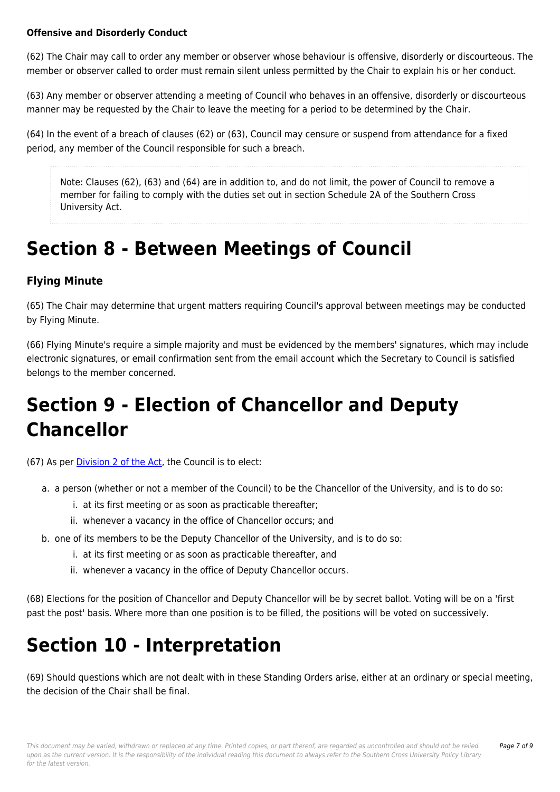#### **Offensive and Disorderly Conduct**

(62) The Chair may call to order any member or observer whose behaviour is offensive, disorderly or discourteous. The member or observer called to order must remain silent unless permitted by the Chair to explain his or her conduct.

(63) Any member or observer attending a meeting of Council who behaves in an offensive, disorderly or discourteous manner may be requested by the Chair to leave the meeting for a period to be determined by the Chair.

(64) In the event of a breach of clauses (62) or (63), Council may censure or suspend from attendance for a fixed period, any member of the Council responsible for such a breach.

Note: Clauses (62), (63) and (64) are in addition to, and do not limit, the power of Council to remove a member for failing to comply with the duties set out in section Schedule 2A of the Southern Cross University Act.

## **Section 8 - Between Meetings of Council**

### **Flying Minute**

(65) The Chair may determine that urgent matters requiring Council's approval between meetings may be conducted by Flying Minute.

(66) Flying Minute's require a simple majority and must be evidenced by the members' signatures, which may include electronic signatures, or email confirmation sent from the email account which the Secretary to Council is satisfied belongs to the member concerned.

# **Section 9 - Election of Chancellor and Deputy Chancellor**

(67) As per [Division 2 of the Act](https://policies.dev.scu.edu.au/directory-summary.php?legislation=21), the Council is to elect:

- a. a person (whether or not a member of the Council) to be the Chancellor of the University, and is to do so:
	- i. at its first meeting or as soon as practicable thereafter;
	- ii. whenever a vacancy in the office of Chancellor occurs; and
- b. one of its members to be the Deputy Chancellor of the University, and is to do so:
	- i. at its first meeting or as soon as practicable thereafter, and
	- ii. whenever a vacancy in the office of Deputy Chancellor occurs.

(68) Elections for the position of Chancellor and Deputy Chancellor will be by secret ballot. Voting will be on a 'first past the post' basis. Where more than one position is to be filled, the positions will be voted on successively.

## **Section 10 - Interpretation**

(69) Should questions which are not dealt with in these Standing Orders arise, either at an ordinary or special meeting, the decision of the Chair shall be final.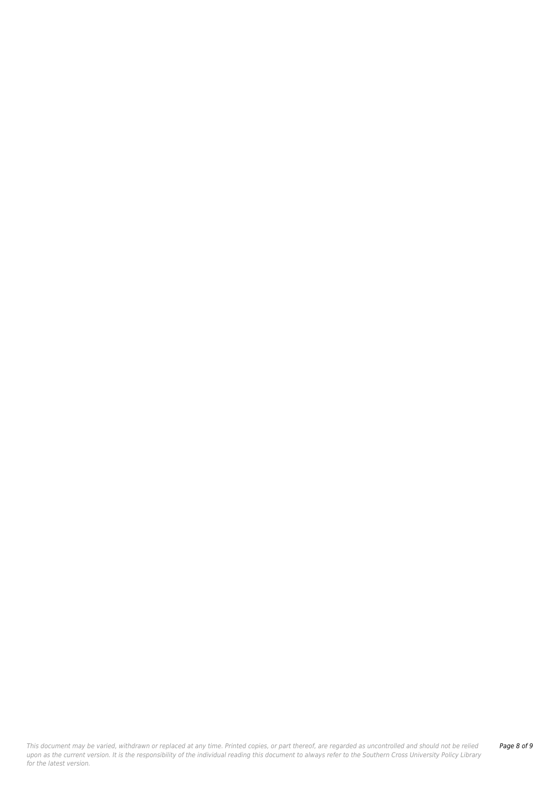This document may be varied, withdrawn or replaced at any time. Printed copies, or part thereof, are regarded as uncontrolled and should not be relied upon as the current version. It is the responsibility of the individual reading this document to always refer to the Southern Cross University Policy Library for the latest version.